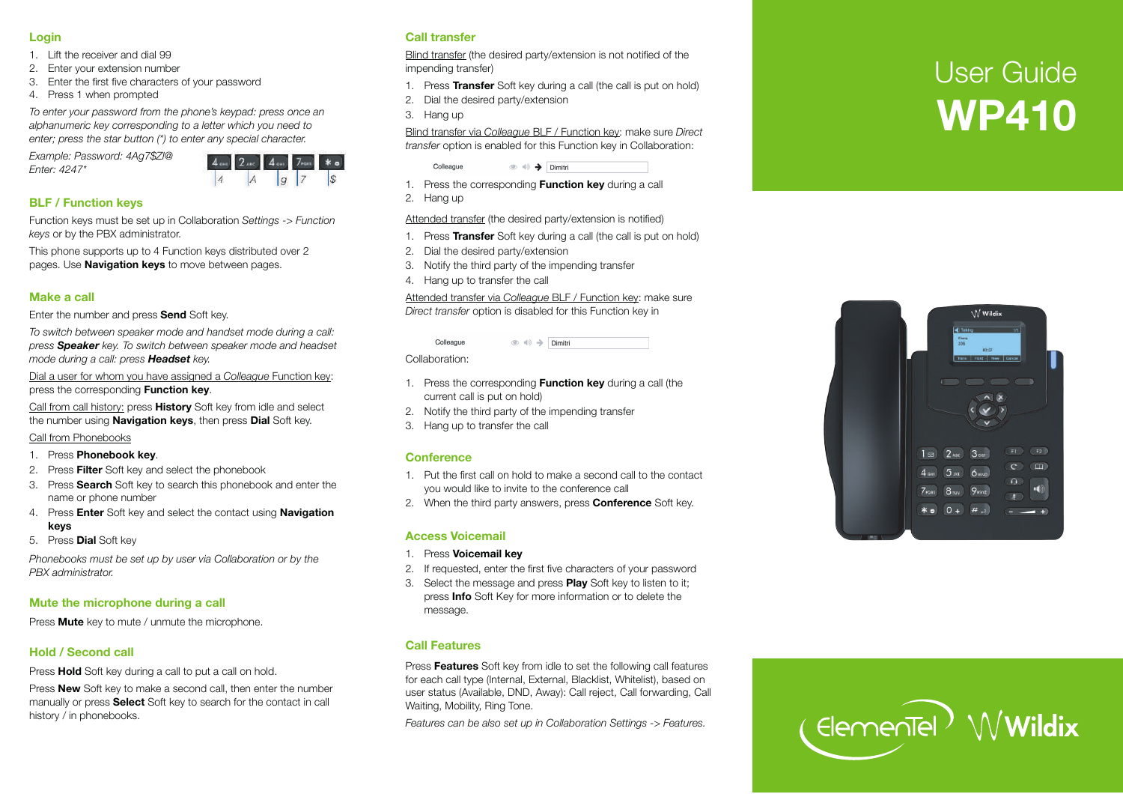#### **Login**

- 1. Lift the receiver and dial 99
- 2. Enter your extension number
- 3. Enter the first five characters of your passwo rd
- 4. P ress 1 when p rompted

*To enter your passwo rd from the phone 's keypad: p ress once an alphanumeric key corresponding to a letter which you need to enter; p ress the star button (\*) to enter any special characte r.* 

*Example: Passwo rd: 4Ag7\$Zl@ Enter: 4247\** 



## **BLF / Function keys**

Function keys must be set up in Collaboration *Settings -> Function keys* or by the PBX administrato r.

This phone supports up to 4 Function keys distributed over 2 pages. Use **Navigation keys** to move between pages.

#### **Make a call**

Enter the number and press **Send** Soft key.

*To switch between speaker mode and handset mode during a call: press Speaker key. To switch between speaker mode and headset mode during a call: p ress Headset key.* 

Dial a user for whom you have assigned a *Colleague* Function key: press the corresponding **Function key**.

Call f rom call history: p ress **History** Soft key f rom idle and select the number using **Navigation keys**, then p ress **Dial** Soft ke y.

Call f rom Phonebooks

- 1. P ress **Phonebook key**.
- 2. P ress **Filter** Soft key and select the phonebook
- 3. P ress **Sea rch** Soft key to sea rch this phonebook and enter the name or phone number
- 4. P ress **Enter** Soft key and select the contact using **Navigation keys**
- 5. P ress **Dial** Soft key

*Phonebooks must be set up by user via Collaboration or by the PBX administrato r.* 

## **Mute the mic rophone during a call**

P ress **Mute** key to mute / unmute the mic rophone.

# **Hold / Second call**

Press **Hold** Soft key during a call to put a call on hold.

Press **New** Soft key to make a second call, then enter the number manually or press **Select** Soft key to search for the contact in call history / in phonebooks.

## **Call transfer**

Blind transfer (the desired party/extension is not notified of the impending transfer)

- 1. P ress **Transfer** Soft key during a call (the call is put on hold)
- 2. Dial the desi red party/extension
- 3. Hang up

Blind transfer via *Colleague* BLF / Function key: make sure *Direct transfer* option is enabled for this Function key in Collaboration:

 $\circledcirc \circledast$   $\rightarrow$  Dimitri

- 1. P ress the cor responding **Function key** during a call
- 2. Hang up

Colleague

Attended transfer (the desired party/extension is notified)

- 1. P ress **Transfer** Soft key during a call (the call is put on hold)
- 2. Dial the desi red party/extension
- 3. Notify the thi rd party of the impending transfer
- 4. Hang up to transfer the call

Attended transfer via Colleague BLF / Function key: make sure *Direct transfer* option is disabled for this Function key in

> Colleague  $\circledcirc \Rightarrow$  Dimitri

Collaboration:

- 1. P ress the cor responding **Function key** during a call (the cur rent call is put on hold)
- 2. Notify the thi rd party of the impending transfer
- 3. Hang up to transfer the call

#### **Conference**

- 1. Put the first call on hold to make a second call to the contact you would like to invite to the confe rence call
- 2. When the third party answers, press **Conference** Soft key.

## **Access Voicemail**

- 1. P ress **Voicemail key**
- 2. If requested, enter the first five characters of your passwo rd
- 3. Select the message and p ress **Play** Soft key to listen to it; press **Info** Soft Key for more information or to delete the message.

## **Call Features**

Press Features Soft key from idle to set the following call features for each call type (Internal, External, Blacklist, Whitelist), based on user status (Available, DND, Away): Call reject, Call forwarding, Call Waiting, Mobilit y, Ring Tone.

*Featu res can be also set up in Collaboration Settings -> Featu res.* 

# User Guide **WP410**